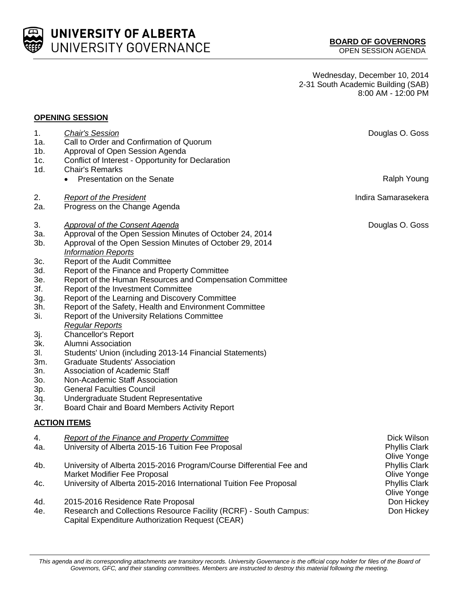

**UNIVERSITY OF ALBERTA** UNIVERSITY GOVERNANCE

Wednesday, December 10, 2014 2-31 South Academic Building (SAB) 8:00 AM - 12:00 PM

## **OPENING SESSION**

| 1.<br>1a.<br>$1b$ .<br>1c.                                  | <b>Chair's Session</b><br>Call to Order and Confirmation of Quorum<br>Approval of Open Session Agenda<br>Conflict of Interest - Opportunity for Declaration                                                                                                                                                                                                                                                               | Douglas O. Goss                               |
|-------------------------------------------------------------|---------------------------------------------------------------------------------------------------------------------------------------------------------------------------------------------------------------------------------------------------------------------------------------------------------------------------------------------------------------------------------------------------------------------------|-----------------------------------------------|
| 1d.                                                         | <b>Chair's Remarks</b><br>Presentation on the Senate                                                                                                                                                                                                                                                                                                                                                                      | Ralph Young                                   |
| 2.<br>2a.                                                   | <b>Report of the President</b><br>Progress on the Change Agenda                                                                                                                                                                                                                                                                                                                                                           | Indira Samarasekera                           |
| 3.<br>3a.<br>3b.<br>3c.<br>3d.<br>3e.<br>3f.<br>3g.         | Approval of the Consent Agenda<br>Approval of the Open Session Minutes of October 24, 2014<br>Approval of the Open Session Minutes of October 29, 2014<br><b>Information Reports</b><br>Report of the Audit Committee<br>Report of the Finance and Property Committee<br>Report of the Human Resources and Compensation Committee<br>Report of the Investment Committee<br>Report of the Learning and Discovery Committee | Douglas O. Goss                               |
| 3h.<br>3i.                                                  | Report of the Safety, Health and Environment Committee<br><b>Report of the University Relations Committee</b><br><b>Regular Reports</b>                                                                                                                                                                                                                                                                                   |                                               |
| 3j.<br>3k.<br>3I.<br>3m.<br>3n.<br>30.<br>3p.<br>3q.<br>3r. | <b>Chancellor's Report</b><br>Alumni Association<br>Students' Union (including 2013-14 Financial Statements)<br><b>Graduate Students' Association</b><br><b>Association of Academic Staff</b><br>Non-Academic Staff Association<br><b>General Faculties Council</b><br>Undergraduate Student Representative<br>Board Chair and Board Members Activity Report                                                              |                                               |
|                                                             | <b>ACTION ITEMS</b>                                                                                                                                                                                                                                                                                                                                                                                                       |                                               |
| 4.<br>4a.                                                   | <b>Report of the Finance and Property Committee</b><br>University of Alberta 2015-16 Tuition Fee Proposal                                                                                                                                                                                                                                                                                                                 | Dick Wilson<br>Phyllis Clark<br>Olive Yonge   |
| 4b.<br>4c.                                                  | University of Alberta 2015-2016 Program/Course Differential Fee and<br>Market Modifier Fee Proposal<br>University of Alberta 2015-2016 International Tuition Fee Proposal                                                                                                                                                                                                                                                 | Phyllis Clark<br>Olive Yonge<br>Phyllis Clark |
| 4d.<br>4e.                                                  | 2015-2016 Residence Rate Proposal<br>Research and Collections Resource Facility (RCRF) - South Campus:<br>Capital Expenditure Authorization Request (CEAR)                                                                                                                                                                                                                                                                | Olive Yonge<br>Don Hickey<br>Don Hickey       |

This agenda and its corresponding attachments are transitory records. University Governance is the official copy holder for files of the Board of *Governors, GFC, and their standing committees. Members are instructed to destroy this material following the meeting.*